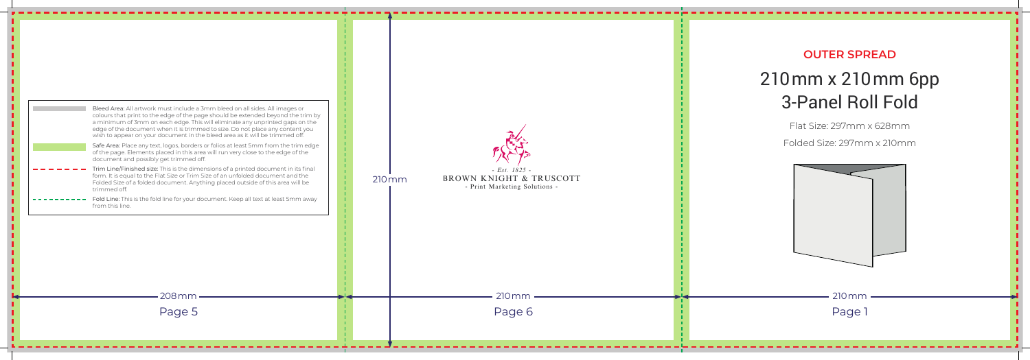